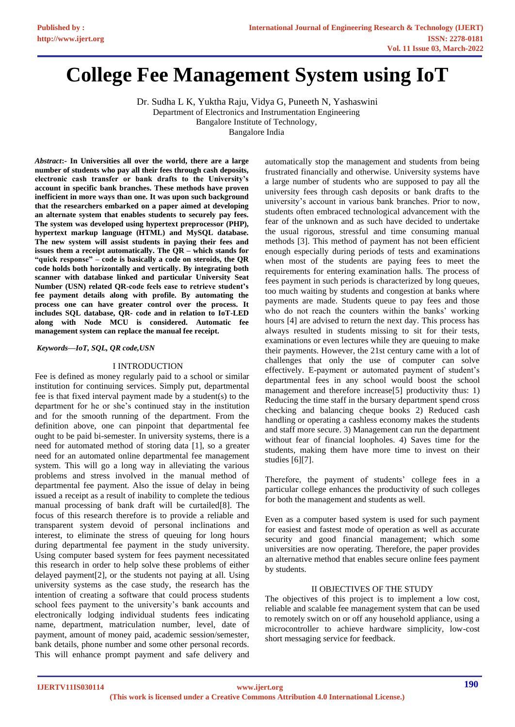# **College Fee Management System using IoT**

Dr. Sudha L K, Yuktha Raju, Vidya G, Puneeth N, Yashaswini Department of Electronics and Instrumentation Engineering Bangalore Institute of Technology, Bangalore India

*Abstract***:- In Universities all over the world, there are a large number of students who pay all their fees through cash deposits, electronic cash transfer or bank drafts to the University's account in specific bank branches. These methods have proven inefficient in more ways than one. It was upon such background that the researchers embarked on a paper aimed at developing an alternate system that enables students to securely pay fees. The system was developed using hypertext preprocessor (PHP), hypertext markup language (HTML) and MySQL database. The new system will assist students in paying their fees and issues them a receipt automatically. The QR – which stands for "quick response" – code is basically a code on steroids, the QR code holds both horizontally and vertically. By integrating both scanner with database linked and particular University Seat Number (USN) related QR-code feels ease to retrieve student's fee payment details along with profile. By automating the process one can have greater control over the process. It includes SQL database, QR- code and in relation to IoT-LED along with Node MCU is considered. Automatic fee management system can replace the manual fee receipt.**

*Keywords—IoT, SQL, QR code,USN*

## I INTRODUCTION

Fee is defined as money regularly paid to a school or similar institution for continuing services. Simply put, departmental fee is that fixed interval payment made by a student(s) to the department for he or she's continued stay in the institution and for the smooth running of the department. From the definition above, one can pinpoint that departmental fee ought to be paid bi-semester. In university systems, there is a need for automated method of storing data [1], so a greater need for an automated online departmental fee management system. This will go a long way in alleviating the various problems and stress involved in the manual method of departmental fee payment. Also the issue of delay in being issued a receipt as a result of inability to complete the tedious manual processing of bank draft will be curtailed[8]. The focus of this research therefore is to provide a reliable and transparent system devoid of personal inclinations and interest, to eliminate the stress of queuing for long hours during departmental fee payment in the study university. Using computer based system for fees payment necessitated this research in order to help solve these problems of either delayed payment[2], or the students not paying at all. Using university systems as the case study, the research has the intention of creating a software that could process students school fees payment to the university's bank accounts and electronically lodging individual students fees indicating name, department, matriculation number, level, date of payment, amount of money paid, academic session/semester, bank details, phone number and some other personal records. This will enhance prompt payment and safe delivery and automatically stop the management and students from being frustrated financially and otherwise. University systems have a large number of students who are supposed to pay all the university fees through cash deposits or bank drafts to the university's account in various bank branches. Prior to now, students often embraced technological advancement with the fear of the unknown and as such have decided to undertake the usual rigorous, stressful and time consuming manual methods [3]. This method of payment has not been efficient enough especially during periods of tests and examinations when most of the students are paying fees to meet the requirements for entering examination halls. The process of fees payment in such periods is characterized by long queues, too much waiting by students and congestion at banks where payments are made. Students queue to pay fees and those who do not reach the counters within the banks' working hours [4] are advised to return the next day. This process has always resulted in students missing to sit for their tests, examinations or even lectures while they are queuing to make their payments. However, the 21st century came with a lot of challenges that only the use of computer can solve effectively. E-payment or automated payment of student's departmental fees in any school would boost the school management and therefore increase[5] productivity thus: 1) Reducing the time staff in the bursary department spend cross checking and balancing cheque books 2) Reduced cash handling or operating a cashless economy makes the students and staff more secure. 3) Management can run the department without fear of financial loopholes. 4) Saves time for the students, making them have more time to invest on their studies [6][7].

Therefore, the payment of students' college fees in a particular college enhances the productivity of such colleges for both the management and students as well.

Even as a computer based system is used for such payment for easiest and fastest mode of operation as well as accurate security and good financial management; which some universities are now operating. Therefore, the paper provides an alternative method that enables secure online fees payment by students.

#### II OBJECTIVES OF THE STUDY

The objectives of this project is to implement a low cost, reliable and scalable fee management system that can be used to remotely switch on or off any household appliance, using a microcontroller to achieve hardware simplicity, low-cost short messaging service for feedback.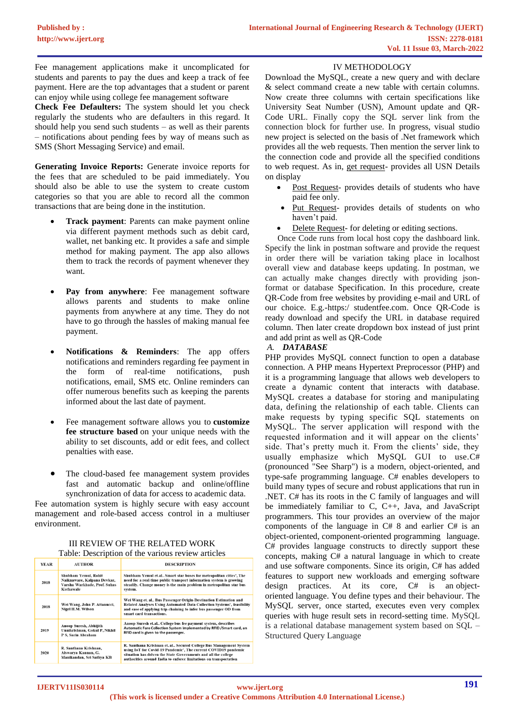Fee management applications make it uncomplicated for students and parents to pay the dues and keep a track of fee payment. Here are the top advantages that a student or parent can enjoy while using college fee management software

**Check Fee Defaulters:** The system should let you check regularly the students who are defaulters in this regard. It should help you send such students – as well as their parents – notifications about pending fees by way of means such as SMS (Short Messaging Service) and email.

**Generating Invoice Reports:** Generate invoice reports for the fees that are scheduled to be paid immediately. You should also be able to use the system to create custom categories so that you are able to record all the common transactions that are being done in the institution.

- **Track payment**: Parents can make payment online via different payment methods such as debit card, wallet, net banking etc. It provides a safe and simple method for making payment. The app also allows them to track the records of payment whenever they want.
- Pay from anywhere: Fee management software allows parents and students to make online payments from anywhere at any time. They do not have to go through the hassles of making manual fee payment.
- **Notifications & Reminders**: The app offers notifications and reminders regarding fee payment in the form of real-time notifications, push notifications, email, SMS etc. Online reminders can offer numerous benefits such as keeping the parents informed about the last date of payment.
- Fee management software allows you to **customize fee structure based** on your unique needs with the ability to set discounts, add or edit fees, and collect penalties with ease.
- The cloud-based fee management system provides fast and automatic backup and online/offline synchronization of data for access to academic data.

Fee automation system is highly secure with easy account management and role-based access control in a multiuser environment.

#### III REVIEW OF THE RELATED WORK Table: Description of the various review articles

| YEAR | <b>AUTHOR</b>                                                                                    | <b>DESCRIPTION</b>                                                                                                                                                                                                                                                         |
|------|--------------------------------------------------------------------------------------------------|----------------------------------------------------------------------------------------------------------------------------------------------------------------------------------------------------------------------------------------------------------------------------|
| 2018 | Shubham Yemul, Rohit<br>Naiknaware, Kalpana Devkar,<br>Varsha Warkhade, Prof. Suhas<br>Kothawale | Shubham Yemul et.al Smart star buses for metropolitan cities', The<br>need for a real-time public transport information system is growing<br>steadily. Change money is the main problem in metropolitan star bus<br>svstem.                                                |
| 2018 | Wei Wang, John P. Attanucci,<br><b>Nigel H.M. Wilson</b>                                         | Wei Wang et. al Bus Passenger Origin-Destination Estimation and<br>Related Analyses Using Automated Data Collection Systems', feasibility<br>and ease of applying trip-chaining to infer bus passenger OD from<br>smart card transactions.                                 |
| 2019 | Anoop Suresh, Abhijith<br>Unnikrishnan, Gokul P, Nikhil<br>P S, Sarin Abraham                    | Anoop Suresh et.al College bus fee payment system, describes<br>Automatic Fare Collection System implemented by RFID /Smart card, an<br>RFID card is given to the passenger.                                                                                               |
| 2020 | R. Santhana Krishnan.<br>Aiswarya Kannan, G.<br>Manikandan, Sri Sathva KB                        | R. Santhana Krishnan et. al Secured College Bus Management System<br>using IoT for Covid-19 Pandemic', The current COVID19 pandemic<br>situation has driven the State Governments and all the college<br>authorities around India to enforce limitations on transportation |

# IV METHODOLOGY

Download the MySQL, create a new query and with declare & select command create a new table with certain columns. Now create three columns with certain specifications like University Seat Number (USN), Amount update and QR-Code URL. Finally copy the SQL server link from the connection block for further use. In progress, visual studio new project is selected on the basis of .Net framework which provides all the web requests. Then mention the server link to the connection code and provide all the specified conditions to web request. As in, get request- provides all USN Details on display

- Post Request- provides details of students who have paid fee only.
- Put Request- provides details of students on who haven't paid.
- Delete Request- for deleting or editing sections.

Once Code runs from local host copy the dashboard link. Specify the link in postman software and provide the request in order there will be variation taking place in localhost overall view and database keeps updating. In postman, we can actually make changes directly with providing jsonformat or database Specification. In this procedure, create QR-Code from free websites by providing e-mail and URL of our choice. E.g.-https:/ studentfee.com. Once QR-Code is ready download and specify the URL in database required column. Then later create dropdown box instead of just print and add print as well as QR-Code

## *A. DATABASE*

PHP provides MySQL connect function to open a database connection. A PHP means Hypertext Preprocessor (PHP) and it is a programming language that allows web developers to create a dynamic content that interacts with database. MySQL creates a database for storing and manipulating data, defining the relationship of each table. Clients can make requests by typing specific SQL statements on MySQL. The server application will respond with the requested information and it will appear on the clients' side. That's pretty much it. From the clients' side, they usually emphasize which MySQL GUI to use.C# (pronounced "See Sharp") is a modern, object-oriented, and type-safe programming language. C# enables developers to build many types of secure and robust applications that run in .NET. C# has its roots in the C family of languages and will be immediately familiar to C, C++, Java, and JavaScript programmers. This tour provides an overview of the major components of the language in C# 8 and earlier C# is an object-oriented, component-oriented programming language. C# provides language constructs to directly support these concepts, making C# a natural language in which to create and use software components. Since its origin, C# has added features to support new workloads and emerging software design practices. At its core, C# is an objectoriented language. You define types and their behaviour. The MySQL server, once started, executes even very complex queries with huge result sets in record-setting time. MySQL is a relational database management system based on SQL – Structured Query Language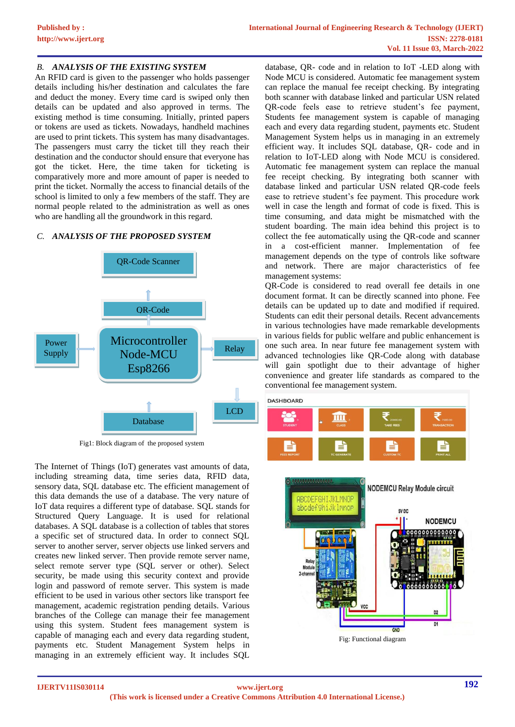# *B. ANALYSIS OF THE EXISTING SYSTEM*

An RFID card is given to the passenger who holds passenger details including his/her destination and calculates the fare and deduct the money. Every time card is swiped only then details can be updated and also approved in terms. The existing method is time consuming. Initially, printed papers or tokens are used as tickets. Nowadays, handheld machines are used to print tickets. This system has many disadvantages. The passengers must carry the ticket till they reach their destination and the conductor should ensure that everyone has got the ticket. Here, the time taken for ticketing is comparatively more and more amount of paper is needed to print the ticket. Normally the access to financial details of the school is limited to only a few members of the staff. They are normal people related to the administration as well as ones who are handling all the groundwork in this regard.

## *C. ANALYSIS OF THE PROPOSED SYSTEM*



Fig1: Block diagram of the proposed system

The Internet of Things (IoT) generates vast amounts of data, including streaming data, time series data, RFID data, sensory data, SQL database etc. The efficient management of this data demands the use of a database. The very nature of IoT data requires a different type of database. SQL stands for Structured Query Language. It is used for relational databases. A SQL database is a collection of tables that stores a specific set of structured data. In order to connect SQL server to another server, server objects use linked servers and creates new linked server. Then provide remote server name, select remote server type (SQL server or other). Select security, be made using this security context and provide login and password of remote server. This system is made efficient to be used in various other sectors like transport fee management, academic registration pending details. Various branches of the College can manage their fee management using this system. Student fees management system is capable of managing each and every data regarding student, payments etc. Student Management System helps in managing in an extremely efficient way. It includes SQL

database, QR- code and in relation to IoT -LED along with Node MCU is considered. Automatic fee management system can replace the manual fee receipt checking. By integrating both scanner with database linked and particular USN related QR-code feels ease to retrieve student's fee payment, Students fee management system is capable of managing each and every data regarding student, payments etc. Student Management System helps us in managing in an extremely efficient way. It includes SQL database, QR- code and in relation to IoT-LED along with Node MCU is considered. Automatic fee management system can replace the manual fee receipt checking. By integrating both scanner with database linked and particular USN related QR-code feels ease to retrieve student's fee payment. This procedure work well in case the length and format of code is fixed. This is time consuming, and data might be mismatched with the student boarding. The main idea behind this project is to collect the fee automatically using the QR-code and scanner in a cost-efficient manner. Implementation of fee management depends on the type of controls like software and network. There are major characteristics of fee management systems:

QR-Code is considered to read overall fee details in one document format. It can be directly scanned into phone. Fee details can be updated up to date and modified if required. Students can edit their personal details. Recent advancements in various technologies have made remarkable developments in various fields for public welfare and public enhancement is one such area. In near future fee management system with advanced technologies like QR-Code along with database will gain spotlight due to their advantage of higher convenience and greater life standards as compared to the conventional fee management system.

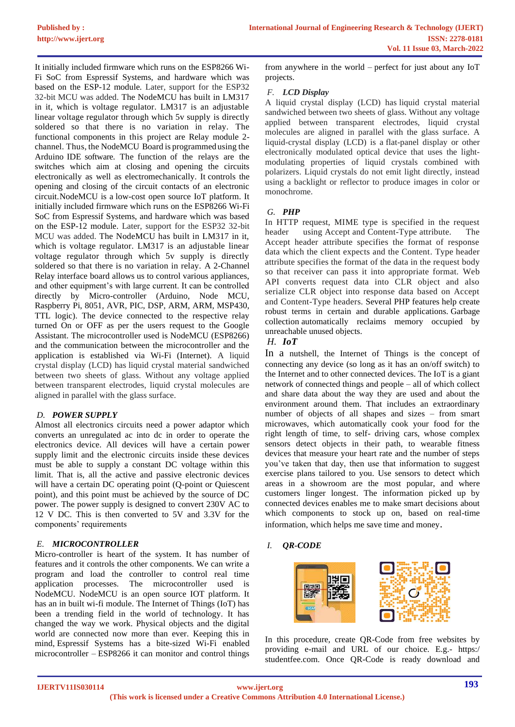It initially included firmware which runs on the ESP8266 Wi-Fi SoC from Espressif Systems, and hardware which was based on the ESP-12 module. Later, support for the ESP32 32-bit MCU was added. The NodeMCU has built in LM317 in it, which is voltage regulator. LM317 is an adjustable linear voltage regulator through which 5v supply is directly soldered so that there is no variation in relay. The functional components in this project are Relay module 2 channel. Thus, the NodeMCU Board is programmedusing the Arduino IDE software. The function of the relays are the switches which aim at closing and opening the circuits electronically as well as electromechanically. It controls the opening and closing of the circuit contacts of an electronic circuit. NodeMCU is a low-cost open source IoT platform. It initially included firmware which runs on the ESP8266 Wi-Fi SoC from Espressif Systems, and hardware which was based on the ESP-12 module. Later, support for the ESP32 32-bit MCU was added. The NodeMCU has built in LM317 in it, which is voltage regulator. LM317 is an adjustable linear voltage regulator through which 5v supply is directly soldered so that there is no variation in relay. A 2-Channel Relay interface board allows us to control various appliances, and other equipment's with large current. It can be controlled directly by Micro-controller (Arduino, Node MCU, Raspberry Pi, 8051, AVR, PIC, DSP, ARM, ARM, MSP430, TTL logic). The device connected to the respective relay turned On or OFF as per the users request to the Google Assistant. The microcontroller used is NodeMCU (ESP8266) and the communication between the microcontroller and the application is established via Wi-Fi (Internet). A liquid crystal display (LCD) has liquid crystal material sandwiched between two sheets of glass. Without any voltage applied between transparent electrodes, liquid crystal molecules are aligned in parallel with the glass surface.

# *D. POWER SUPPLY*

Almost all electronics circuits need a power adaptor which converts an unregulated ac into dc in order to operate the electronics device. All devices will have a certain power supply limit and the electronic circuits inside these devices must be able to supply a constant DC voltage within this limit. That is, all the active and passive electronic devices will have a certain DC operating point (Q-point or Quiescent point), and this point must be achieved by the source of DC power. The power supply is designed to convert 230V AC to 12 V DC. This is then converted to 5V and 3.3V for the components' requirements

## *E. MICROCONTROLLER*

Micro-controller is heart of the system. It has number of features and it controls the other components. We can write a program and load the controller to control real time application processes. The microcontroller used is NodeMCU. NodeMCU is an open source IOT platform. It has an in built wi-fi module. The Internet of Things (IoT) has been a trending field in the world of technology. It has changed the way we work. Physical objects and the digital world are connected now more than ever. Keeping this in mind, [Espressif Systems](https://www.espressif.com/) has a bite-sized Wi-Fi enabled microcontroller – ESP8266 it can monitor and control things

from anywhere in the world – perfect for just about any IoT projects.

# *F. LCD Display*

A liquid crystal display (LCD) has liquid crystal material sandwiched between two sheets of glass. Without any voltage applied between transparent electrodes, liquid crystal molecules are aligned in parallel with the glass surface. A liquid-crystal display (LCD) is a flat-panel display or other electronically modulated optical device that uses the lightmodulating properties of liquid crystals combined with polarizers. Liquid crystals do not emit light directly, instead using a backlight or reflector to produce images in color or monochrome*.*

# *G. PHP*

In HTTP request, MIME type is specified in the request header using Accept and Content-Type attribute. The Accept header attribute specifies the format of response data which the client expects and the Content. Type header attribute specifies the format of the data in the request body so that receiver can pass it into appropriate format. Web API converts request data into CLR object and also serialize CLR object into response data based on Accept and Content-Type headers. Several PHP features help create robust terms in certain and durable applications. [Garbage](https://docs.microsoft.com/en-us/dotnet/standard/garbage-collection/)  [collection](https://docs.microsoft.com/en-us/dotnet/standard/garbage-collection/) automatically reclaims memory occupied by unreachable unused objects.

# *H. IoT*

In a nutshell, the Internet of Things is the concept of connecting any device (so long as it has an on/off switch) to the Internet and to other connected devices. The IoT is a giant network of connected things and people – all of which collect and share data about the way they are used and about the environment around them. That includes an extraordinary number of objects of all shapes and sizes – from smart microwaves, which automatically cook your food for the right length of time, to self- driving cars, whose complex sensors detect objects in their path, to wearable fitness devices that measure your heart rate and the number of steps you've taken that day, then use that information to suggest exercise plans tailored to you. Use sensors to detect which areas in a showroom are the most popular, and where customers linger longest. The information picked up by connected devices enables me to make smart decisions about which components to stock up on, based on real-time information, which helps me save time and money.

## *I. QR-CODE*



In this procedure, create QR-Code from free websites by providing e-mail and URL of our choice. E.g.- https:/ studentfee.com. Once QR-Code is ready download and